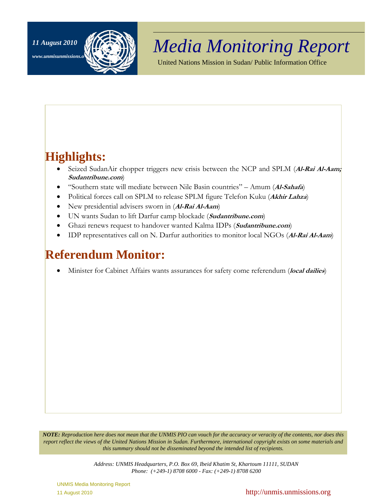www.unmisunmissions



# *Media Monitoring Report 11 August 2010*

United Nations Mission in Sudan/ Public Information Office

# **Highlights:**

- Seized SudanAir chopper triggers new crisis between the NCP and SPLM (**Al-Rai Al-Aam; Sudantribune.com**)
- "Southern state will mediate between Nile Basin countries" Amum (**Al-Sahafa**)
- Political forces call on SPLM to release SPLM figure Telefon Kuku (**Akhir Lahza**)
- New presidential advisers sworn in (**Al-Rai Al-Aam**)
- UN wants Sudan to lift Darfur camp blockade (**Sudantribune.com**)
- Ghazi renews request to handover wanted Kalma IDPs (**Sudantribune.com**)
- IDP representatives call on N. Darfur authorities to monitor local NGOs (**Al-Rai Al-Aam**)

# **Referendum Monitor:**

• Minister for Cabinet Affairs wants assurances for safety come referendum (local dailies)

*NOTE: Reproduction here does not mean that the UNMIS PIO can vouch for the accuracy or veracity of the contents, nor does this report reflect the views of the United Nations Mission in Sudan. Furthermore, international copyright exists on some materials and this summary should not be disseminated beyond the intended list of recipients.* 

> *Address: UNMIS Headquarters, P.O. Box 69, Ibeid Khatim St, Khartoum 11111, SUDAN Phone: (+249-1) 8708 6000 - Fax: (+249-1) 8708 6200*

UNMIS Media Monitoring Report

11 August 2010 **http://unmis.unmissions.org http://unmis.unmissions.org**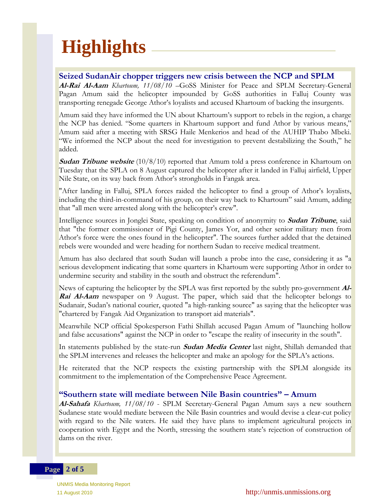# **Highlights**

## **Seized SudanAir chopper triggers new crisis between the NCP and SPLM**

**Al-Rai Al-Aam** *Khartoum, 11/08/10* –GoSS Minister for Peace and SPLM Secretary-General Pagan Amum said the helicopter impounded by GoSS authorities in Falluj County was transporting renegade George Athor's loyalists and accused Khartoum of backing the insurgents.

Amum said they have informed the UN about Khartoum's support to rebels in the region, a charge the NCP has denied. "Some quarters in Khartoum support and fund Athor by various means," Amum said after a meeting with SRSG Haile Menkerios and head of the AUHIP Thabo Mbeki. "We informed the NCP about the need for investigation to prevent destabilizing the South," he added.

**Sudan Tribune website** (10/8/10) reported that Amum told a press conference in Khartoum on Tuesday that the SPLA on 8 August captured the helicopter after it landed in Falluj airfield, Upper Nile State, on its way back from Athor's strongholds in Fangak area.

"After landing in Falluj, SPLA forces raided the helicopter to find a group of Athor's loyalists, including the third-in-command of his group, on their way back to Khartoum" said Amum, adding that "all men were arrested along with the helicopter's crew".

Intelligence sources in Jonglei State, speaking on condition of anonymity to **Sudan Tribune**, said that "the former commissioner of Pigi County, James Yor, and other senior military men from Athor's force were the ones found in the helicopter". The sources further added that the detained rebels were wounded and were heading for northern Sudan to receive medical treatment.

Amum has also declared that south Sudan will launch a probe into the case, considering it as "a serious development indicating that some quarters in Khartoum were supporting Athor in order to undermine security and stability in the south and obstruct the referendum".

News of capturing the helicopter by the SPLA was first reported by the subtly pro-government **Al-Rai Al-Aam** newspaper on 9 August. The paper, which said that the helicopter belongs to Sudanair, Sudan's national courier, quoted "a high-ranking source" as saying that the helicopter was "chartered by Fangak Aid Organization to transport aid materials".

Meanwhile NCP official Spokesperson Fathi Shillah accused Pagan Amum of "launching hollow and false accusations" against the NCP in order to "escape the reality of insecurity in the south".

In statements published by the state-run **Sudan Media Center** last night, Shillah demanded that the SPLM intervenes and releases the helicopter and make an apology for the SPLA's actions.

He reiterated that the NCP respects the existing partnership with the SPLM alongside its commitment to the implementation of the Comprehensive Peace Agreement.

## **"Southern state will mediate between Nile Basin countries" – Amum**

**Al-Sahafa** *Khartoum, 11/08/10* - SPLM Secretary-General Pagan Amum says a new southern Sudanese state would mediate between the Nile Basin countries and would devise a clear-cut policy with regard to the Nile waters. He said they have plans to implement agricultural projects in cooperation with Egypt and the North, stressing the southern state's rejection of construction of dams on the river.

#### **Page 2 of 5**

UNMIS Media Monitoring Report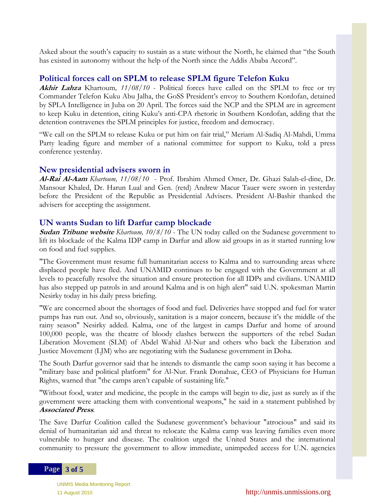Asked about the south's capacity to sustain as a state without the North, he claimed that "the South has existed in autonomy without the help of the North since the Addis Ababa Accord".

## **Political forces call on SPLM to release SPLM figure Telefon Kuku**

**Akhir Lahza** Khartoum*, 11/08/10* - Political forces have called on the SPLM to free or try Commander Telefon Kuku Abu Jalha, the GoSS President's envoy to Southern Kordofan, detained by SPLA Intelligence in Juba on 20 April. The forces said the NCP and the SPLM are in agreement to keep Kuku in detention, citing Kuku's anti-CPA rhetoric in Southern Kordofan, adding that the detention contravenes the SPLM principles for justice, freedom and democracy.

"We call on the SPLM to release Kuku or put him on fair trial," Meriam Al-Sadiq Al-Mahdi, Umma Party leading figure and member of a national committee for support to Kuku, told a press conference yesterday.

#### **New presidential advisers sworn in**

**Al-Rai Al-Aam** *Khartoum, 11/08/10* - Prof. Ibrahim Ahmed Omer, Dr. Ghazi Salah-el-dine, Dr. Mansour Khaled, Dr. Harun Lual and Gen. (retd) Andrew Macur Tauer were sworn in yesterday before the President of the Republic as Presidential Advisers. President Al-Bashir thanked the advisers for accepting the assignment.

## **UN wants Sudan to lift Darfur camp blockade**

**Sudan Tribune website** *Khartoum, 10/8/10* - The UN today called on the Sudanese government to lift its blockade of the Kalma IDP camp in Darfur and allow aid groups in as it started running low on food and fuel supplies.

"The Government must resume full humanitarian access to Kalma and to surrounding areas where displaced people have fled. And UNAMID continues to be engaged with the Government at all levels to peacefully resolve the situation and ensure protection for all IDPs and civilians. UNAMID has also stepped up patrols in and around Kalma and is on high alert" said U.N. spokesman Martin Nesirky today in his daily press briefing.

"We are concerned about the shortages of food and fuel. Deliveries have stopped and fuel for water pumps has run out. And so, obviously, sanitation is a major concern, because it's the middle of the rainy season" Nesirky added. Kalma, one of the largest in camps Darfur and home of around 100,000 people, was the theatre of bloody clashes between the supporters of the rebel Sudan Liberation Movement (SLM) of Abdel Wahid Al-Nur and others who back the Liberation and Justice Movement (LJM) who are negotiating with the Sudanese government in Doha.

The South Darfur governor said that he intends to dismantle the camp soon saying it has become a "military base and political platform" for Al-Nur. Frank Donahue, CEO of Physicians for Human Rights, warned that "the camps aren't capable of sustaining life."

"Without food, water and medicine, the people in the camps will begin to die, just as surely as if the government were attacking them with conventional weapons," he said in a statement published by **Associated Press**.

The Save Darfur Coalition called the Sudanese government's behaviour "atrocious" and said its denial of humanitarian aid and threat to relocate the Kalma camp was leaving families even more vulnerable to hunger and disease. The coalition urged the United States and the international community to pressure the government to allow immediate, unimpeded access for U.N. agencies

#### **Page 3 of 5**

UNMIS Media Monitoring Report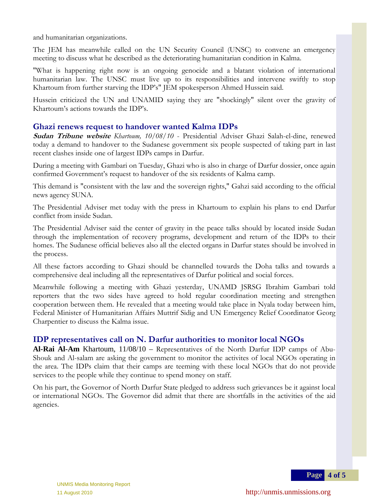and humanitarian organizations.

The JEM has meanwhile called on the UN Security Council (UNSC) to convene an emergency meeting to discuss what he described as the deteriorating humanitarian condition in Kalma.

"What is happening right now is an ongoing genocide and a blatant violation of international humanitarian law. The UNSC must live up to its responsibilities and intervene swiftly to stop Khartoum from further starving the IDP's" JEM spokesperson Ahmed Hussein said.

Hussein criticized the UN and UNAMID saying they are "shockingly" silent over the gravity of Khartoum's actions towards the IDP's.

# **Ghazi renews request to handover wanted Kalma IDPs**

**Sudan Tribune website** *Khartoum, 10/08/10* - Presidential Adviser Ghazi Salah-el-dine, renewed today a demand to handover to the Sudanese government six people suspected of taking part in last recent clashes inside one of largest IDPs camps in Darfur.

During a meeting with Gambari on Tuesday, Ghazi who is also in charge of Darfur dossier, once again confirmed Government's request to handover of the six residents of Kalma camp.

This demand is "consistent with the law and the sovereign rights," Gahzi said according to the official news agency SUNA.

The Presidential Adviser met today with the press in Khartoum to explain his plans to end Darfur conflict from inside Sudan.

The Presidential Adviser said the center of gravity in the peace talks should by located inside Sudan through the implementation of recovery programs, development and return of the IDPs to their homes. The Sudanese official believes also all the elected organs in Darfur states should be involved in the process.

All these factors according to Ghazi should be channelled towards the Doha talks and towards a comprehensive deal including all the representatives of Darfur political and social forces.

 Meanwhile following a meeting with Ghazi yesterday, UNAMD JSRSG Ibrahim Gambari told reporters that the two sides have agreed to hold regular coordination meeting and strengthen cooperation between them. He revealed that a meeting would take place in Nyala today between him, Federal Minister of Humanitarian Affairs Muttrif Sidig and UN Emergency Relief Coordinator Georg Charpentier to discuss the Kalma issue.

# **IDP representatives call on N. Darfur authorities to monitor local NGOs**

**Al-Rai Al-Am** Khartoum, 11/08/10 – Representatives of the North Darfur IDP camps of Abu-Shouk and Al-salam are asking the government to monitor the activites of local NGOs operating in the area. The IDPs claim that their camps are teeming with these local NGOs that do not provide services to the people while they continue to spend money on staff.

 agencies. On his part, the Governor of North Darfur State pledged to address such grievances be it against local or international NGOs. The Governor did admit that there are shortfalls in the activities of the aid